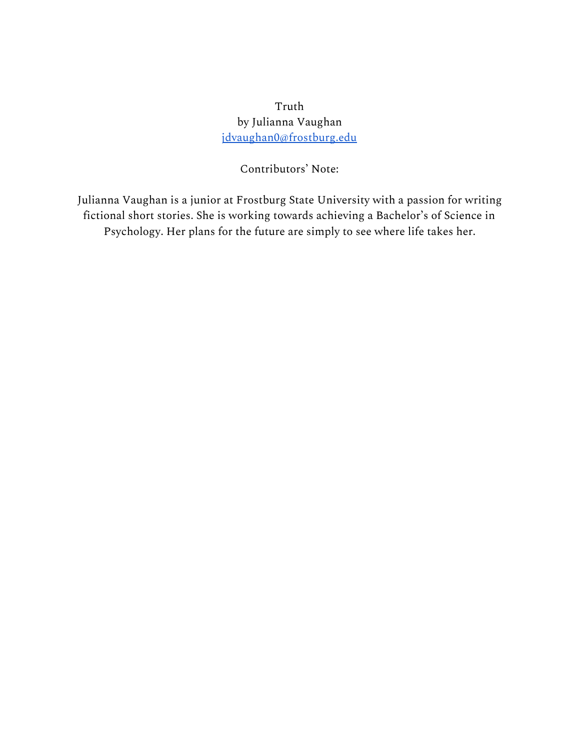Truth by Julianna Vaughan [jdvaughan0@frostburg.edu](mailto:jdvaughan0@frostburg.edu)

Contributors' Note:

Julianna Vaughan is a junior at Frostburg State University with a passion for writing fictional short stories. She is working towards achieving a Bachelor's of Science in Psychology. Her plans for the future are simply to see where life takes her.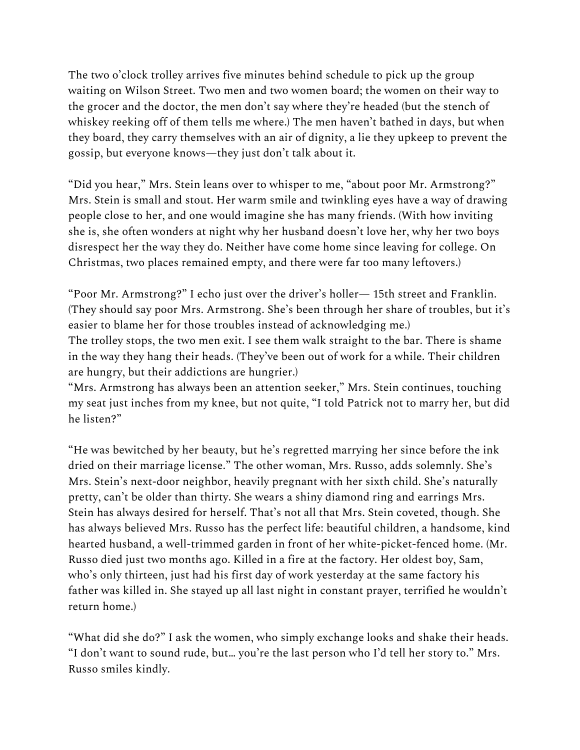The two o'clock trolley arrives five minutes behind schedule to pick up the group waiting on Wilson Street. Two men and two women board; the women on their way to the grocer and the doctor, the men don't say where they're headed (but the stench of whiskey reeking off of them tells me where.) The men haven't bathed in days, but when they board, they carry themselves with an air of dignity, a lie they upkeep to prevent the gossip, but everyone knows—they just don't talk about it.

"Did you hear," Mrs. Stein leans over to whisper to me, "about poor Mr. Armstrong?" Mrs. Stein is small and stout. Her warm smile and twinkling eyes have a way of drawing people close to her, and one would imagine she has many friends. (With how inviting she is, she often wonders at night why her husband doesn't love her, why her two boys disrespect her the way they do. Neither have come home since leaving for college. On Christmas, two places remained empty, and there were far too many leftovers.)

"Poor Mr. Armstrong?" I echo just over the driver's holler— 15th street and Franklin. (They should say poor Mrs. Armstrong. She's been through her share of troubles, but it's easier to blame her for those troubles instead of acknowledging me.)

The trolley stops, the two men exit. I see them walk straight to the bar. There is shame in the way they hang their heads. (They've been out of work for a while. Their children are hungry, but their addictions are hungrier.)

"Mrs. Armstrong has always been an attention seeker," Mrs. Stein continues, touching my seat just inches from my knee, but not quite, "I told Patrick not to marry her, but did he listen?"

"He was bewitched by her beauty, but he's regretted marrying her since before the ink dried on their marriage license." The other woman, Mrs. Russo, adds solemnly. She's Mrs. Stein's next-door neighbor, heavily pregnant with her sixth child. She's naturally pretty, can't be older than thirty. She wears a shiny diamond ring and earrings Mrs. Stein has always desired for herself. That's not all that Mrs. Stein coveted, though. She has always believed Mrs. Russo has the perfect life: beautiful children, a handsome, kind hearted husband, a well-trimmed garden in front of her white-picket-fenced home. (Mr. Russo died just two months ago. Killed in a fire at the factory. Her oldest boy, Sam, who's only thirteen, just had his first day of work yesterday at the same factory his father was killed in. She stayed up all last night in constant prayer, terrified he wouldn't return home.)

"What did she do?" I ask the women, who simply exchange looks and shake their heads. "I don't want to sound rude, but… you're the last person who I'd tell her story to." Mrs. Russo smiles kindly.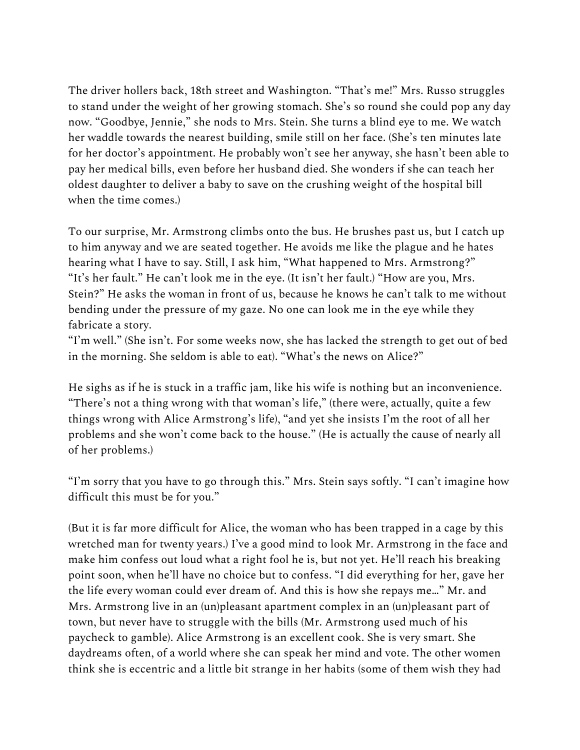The driver hollers back, 18th street and Washington. "That's me!" Mrs. Russo struggles to stand under the weight of her growing stomach. She's so round she could pop any day now. "Goodbye, Jennie," she nods to Mrs. Stein. She turns a blind eye to me. We watch her waddle towards the nearest building, smile still on her face. (She's ten minutes late for her doctor's appointment. He probably won't see her anyway, she hasn't been able to pay her medical bills, even before her husband died. She wonders if she can teach her oldest daughter to deliver a baby to save on the crushing weight of the hospital bill when the time comes.)

To our surprise, Mr. Armstrong climbs onto the bus. He brushes past us, but I catch up to him anyway and we are seated together. He avoids me like the plague and he hates hearing what I have to say. Still, I ask him, "What happened to Mrs. Armstrong?" "It's her fault." He can't look me in the eye. (It isn't her fault.) "How are you, Mrs. Stein?" He asks the woman in front of us, because he knows he can't talk to me without bending under the pressure of my gaze. No one can look me in the eye while they fabricate a story.

"I'm well." (She isn't. For some weeks now, she has lacked the strength to get out of bed in the morning. She seldom is able to eat). "What's the news on Alice?"

He sighs as if he is stuck in a traffic jam, like his wife is nothing but an inconvenience. "There's not a thing wrong with that woman's life," (there were, actually, quite a few things wrong with Alice Armstrong's life), "and yet she insists I'm the root of all her problems and she won't come back to the house." (He is actually the cause of nearly all of her problems.)

"I'm sorry that you have to go through this." Mrs. Stein says softly. "I can't imagine how difficult this must be for you."

(But it is far more difficult for Alice, the woman who has been trapped in a cage by this wretched man for twenty years.) I've a good mind to look Mr. Armstrong in the face and make him confess out loud what a right fool he is, but not yet. He'll reach his breaking point soon, when he'll have no choice but to confess. "I did everything for her, gave her the life every woman could ever dream of. And this is how she repays me…" Mr. and Mrs. Armstrong live in an (un)pleasant apartment complex in an (un)pleasant part of town, but never have to struggle with the bills (Mr. Armstrong used much of his paycheck to gamble). Alice Armstrong is an excellent cook. She is very smart. She daydreams often, of a world where she can speak her mind and vote. The other women think she is eccentric and a little bit strange in her habits (some of them wish they had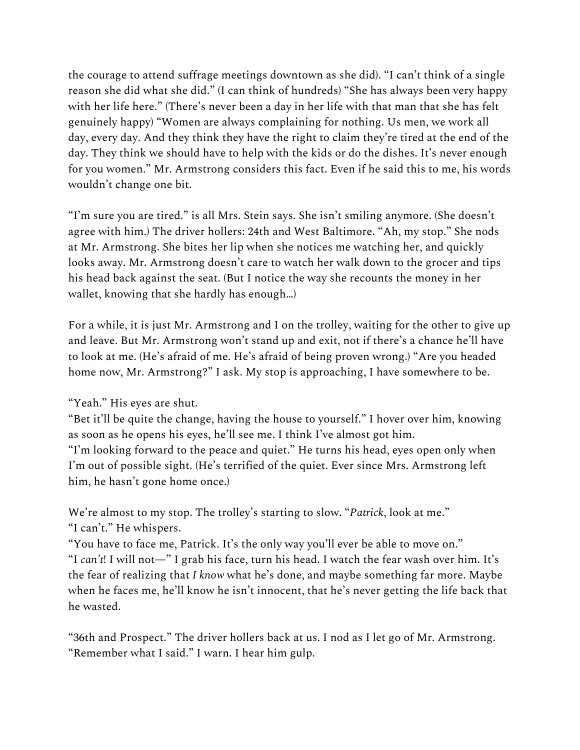the courage to attend suffrage meetings downtown as she did). "I can't think of a single reason she did what she did." (I can think of hundreds) "She has always been very happy with her life here." (There's never been a day in her life with that man that she has felt genuinely happy) "Women are always complaining for nothing. Us men, we work all day, every day. And they think they have the right to claim they're tired at the end of the day. They think we should have to help with the kids or do the dishes. It's never enough for you women." Mr. Armstrong considers this fact. Even if he said this to me, his words wouldn't change one bit.

"I'm sure you are tired." is all Mrs. Stein says. She isn't smiling anymore. (She doesn't agree with him.) The driver hollers: 24th and West Baltimore. "Ah, my stop." She nods at Mr. Armstrong. She bites her lip when she notices me watching her, and quickly looks away. Mr. Armstrong doesn't care to watch her walk down to the grocer and tips his head back against the seat. (But I notice the way she recounts the money in her wallet, knowing that she hardly has enough…)

For a while, it is just Mr. Armstrong and I on the trolley, waiting for the other to give up and leave. But Mr. Armstrong won't stand up and exit, not if there's a chance he'll have to look at me. (He's afraid of me. He's afraid of being proven wrong.) "Are you headed home now, Mr. Armstrong?" I ask. My stop is approaching, I have somewhere to be.

"Yeah." His eyes are shut.

"Bet it'll be quite the change, having the house to yourself." I hover over him, knowing as soon as he opens his eyes, he'll see me. I think I've almost got him. "I'm looking forward to the peace and quiet." He turns his head, eyes open only when

I'm out of possible sight. (He's terrified of the quiet. Ever since Mrs. Armstrong left him, he hasn't gone home once.)

We're almost to my stop. The trolley's starting to slow. "*Patrick*, look at me." "I can't." He whispers.

"You have to face me, Patrick. It's the only way you'll ever be able to move on." "I *can't*! I will not—" I grab his face, turn his head. I watch the fear wash over him. It's the fear of realizing that *I know* what he's done, and maybe something far more. Maybe when he faces me, he'll know he isn't innocent, that he's never getting the life back that he wasted.

"36th and Prospect." The driver hollers back at us. I nod as I let go of Mr. Armstrong. "Remember what I said." I warn. I hear him gulp.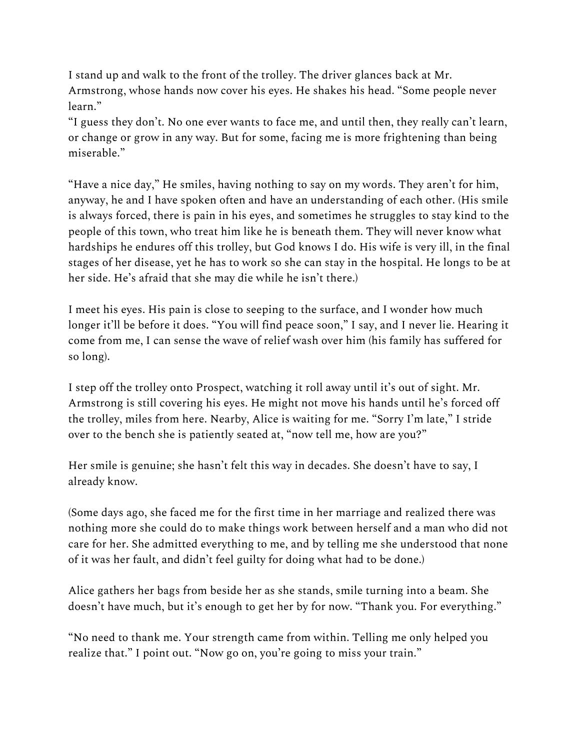I stand up and walk to the front of the trolley. The driver glances back at Mr. Armstrong, whose hands now cover his eyes. He shakes his head. "Some people never learn."

"I guess they don't. No one ever wants to face me, and until then, they really can't learn, or change or grow in any way. But for some, facing me is more frightening than being miserable."

"Have a nice day," He smiles, having nothing to say on my words. They aren't for him, anyway, he and I have spoken often and have an understanding of each other. (His smile is always forced, there is pain in his eyes, and sometimes he struggles to stay kind to the people of this town, who treat him like he is beneath them. They will never know what hardships he endures off this trolley, but God knows I do. His wife is very ill, in the final stages of her disease, yet he has to work so she can stay in the hospital. He longs to be at her side. He's afraid that she may die while he isn't there.)

I meet his eyes. His pain is close to seeping to the surface, and I wonder how much longer it'll be before it does. "You will find peace soon," I say, and I never lie. Hearing it come from me, I can sense the wave of relief wash over him (his family has suffered for so long).

I step off the trolley onto Prospect, watching it roll away until it's out of sight. Mr. Armstrong is still covering his eyes. He might not move his hands until he's forced off the trolley, miles from here. Nearby, Alice is waiting for me. "Sorry I'm late," I stride over to the bench she is patiently seated at, "now tell me, how are you?"

Her smile is genuine; she hasn't felt this way in decades. She doesn't have to say, I already know.

(Some days ago, she faced me for the first time in her marriage and realized there was nothing more she could do to make things work between herself and a man who did not care for her. She admitted everything to me, and by telling me she understood that none of it was her fault, and didn't feel guilty for doing what had to be done.)

Alice gathers her bags from beside her as she stands, smile turning into a beam. She doesn't have much, but it's enough to get her by for now. "Thank you. For everything."

"No need to thank me. Your strength came from within. Telling me only helped you realize that." I point out. "Now go on, you're going to miss your train."